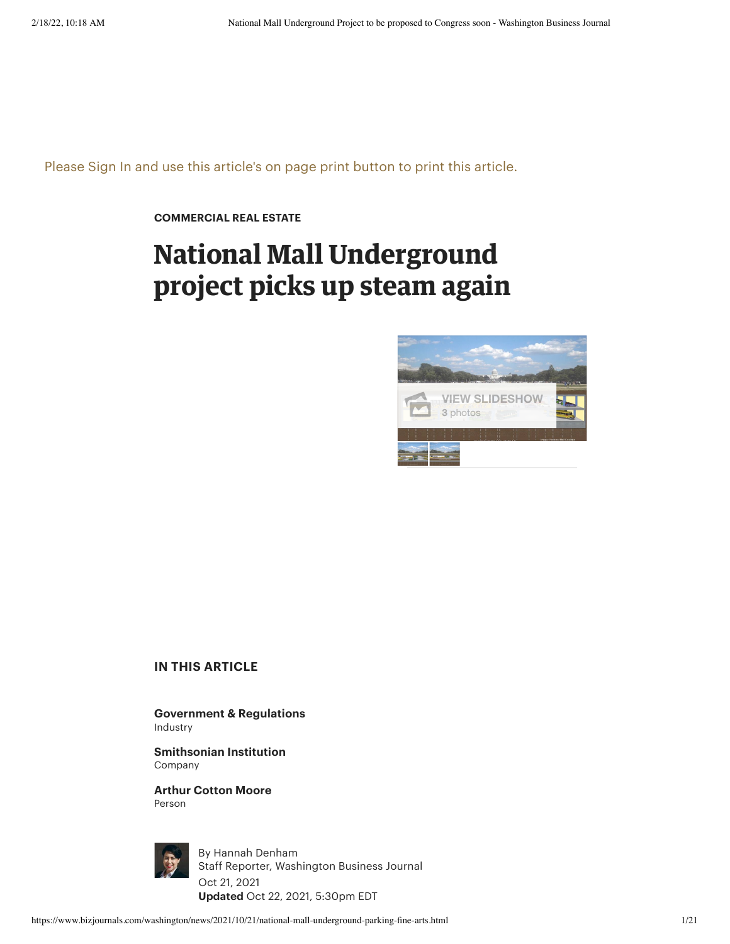Please Sign In and use this article's on page print button to print this article.

**[COMMERCIAL](https://www.bizjournals.com/washington/news/commercial-real-estate/) REAL ESTATE**

## **National Mall Underground project picks up steam again**



## **IN THIS ARTICLE**

**Government [& Regulations](https://www.bizjournals.com/washington/industry-news/government-and-regulations)** Industry

**[Smithsonian Institution](https://www.bizjournals.com/profile/company/org_ch_3f129757914e4260dc8acfbfd055a288)** Company

**Arthur [Cotton Moore](https://www.bizjournals.com/washington/search?q=Arthur%20Cotton%20Moore)** Person



By Hannah [Denham](https://www.bizjournals.com/washington/bio/42223/Hannah+Denham+) Staff Reporter, Washington Business Journal Oct 21, 2021 **Updated** Oct 22, 2021, 5:30pm EDT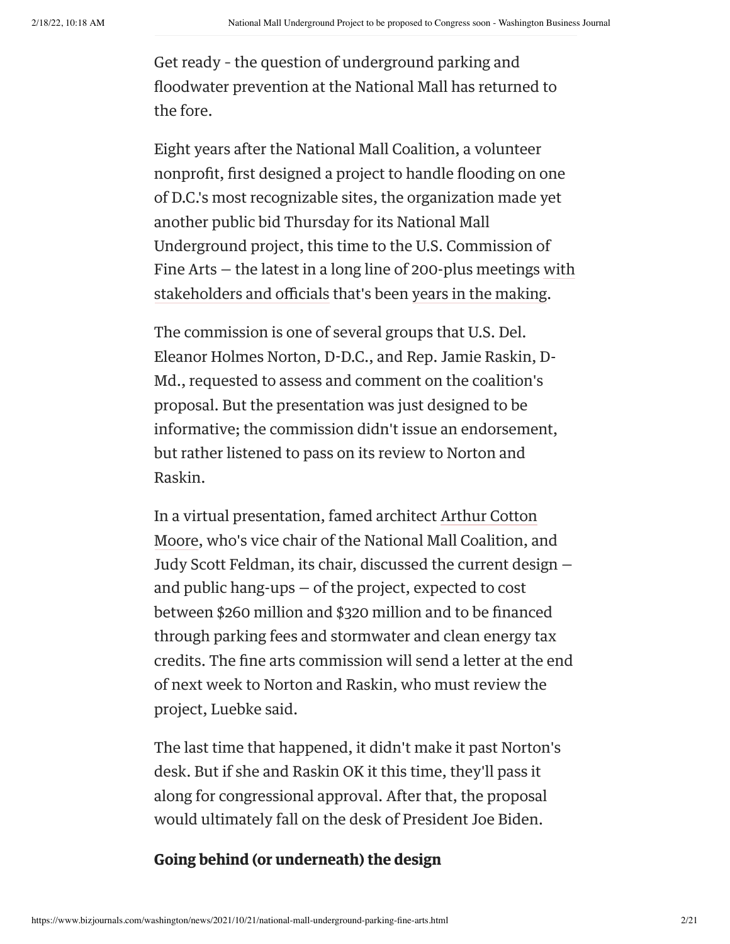Get ready – the question of underground parking and floodwater prevention at the National Mall has returned to the fore.

Eight years after the National Mall Coalition, a volunteer nonprofit, first designed a project to handle flooding on one of D.C.'s most recognizable sites, the organization made yet another public bid Thursday for its National Mall Underground project, this time to the U.S. Commission of Fine Arts — the latest in a long line of 200-plus meetings with [stakeholders](https://www.bizjournals.com/washington/news/2017/03/27/in-the-future-heres-where-you-might-park-on-the.html) and officials that's been years in the [making.](https://www.bizjournals.com/washington/morning_call/2014/07/parking-lot-proposed-under-the-national-mall.html)

The commission is one of several groups that U.S. Del. Eleanor Holmes Norton, D-D.C., and Rep. Jamie Raskin, D-Md., requested to assess and comment on the coalition's proposal. But the presentation was just designed to be informative; the commission didn't issue an endorsement, but rather listened to pass on its review to Norton and Raskin.

[In a virtual presentation,](https://www.bizjournals.com/washington/search/results?q=Arthur%20Cotton%20Moore) famed architect Arthur Cotton Moore, who's vice chair of the National Mall Coalition, and Judy Scott Feldman, its chair, discussed the current design and public hang-ups — of the project, expected to cost between \$260 million and \$320 million and to be financed through parking fees and stormwater and clean energy tax credits. The fine arts commission will send a letter at the end of next week to Norton and Raskin, who must review the project, Luebke said.

The last time that happened, it didn't make it past Norton's desk. But if she and Raskin OK it this time, they'll pass it along for congressional approval. After that, the proposal would ultimately fall on the desk of President Joe Biden.

## **Going behind (or underneath) the design**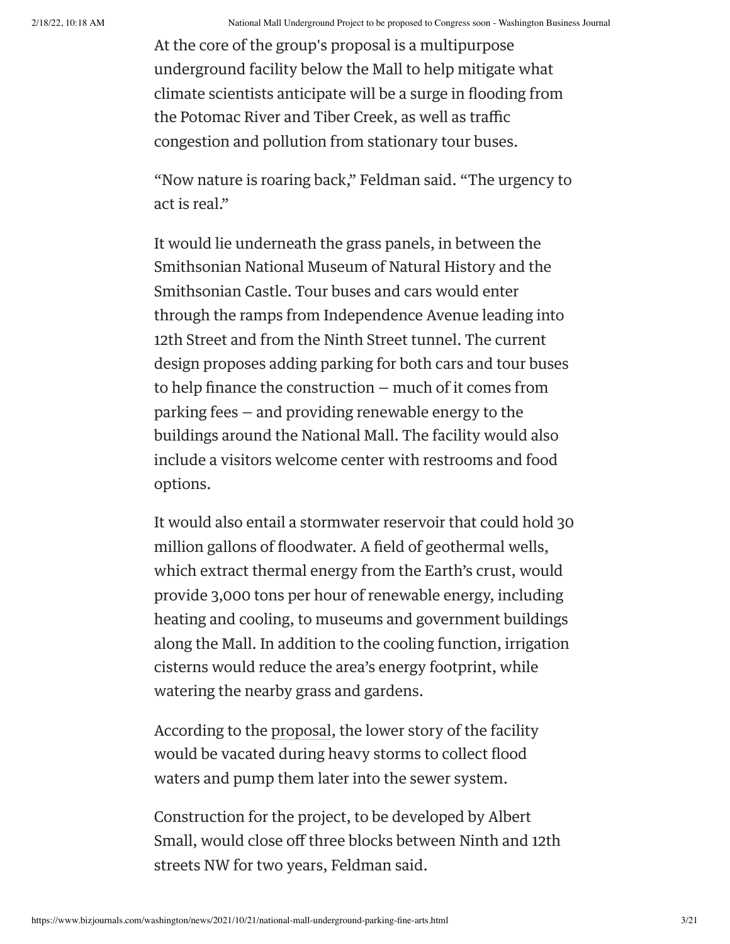At the core of the group's proposal is a multipurpose underground facility below the Mall to help mitigate what climate scientists anticipate will be a surge in flooding from the Potomac River and Tiber Creek, as well as traffic congestion and pollution from stationary tour buses.

"Now nature is roaring back," Feldman said. "The urgency to act is real."

It would lie underneath the grass panels, in between the Smithsonian National Museum of Natural History and the Smithsonian Castle. Tour buses and cars would enter through the ramps from Independence Avenue leading into 12th Street and from the Ninth Street tunnel. The current design proposes adding parking for both cars and tour buses to help finance the construction — much of it comes from parking fees — and providing renewable energy to the buildings around the National Mall. The facility would also include a visitors welcome center with restrooms and food options.

It would also entail a stormwater reservoir that could hold 30 million gallons of floodwater. A field of geothermal wells, which extract thermal energy from the Earth's crust, would provide 3,000 tons per hour of renewable energy, including heating and cooling, to museums and government buildings along the Mall. In addition to the cooling function, irrigation cisterns would reduce the area's energy footprint, while watering the nearby grass and gardens.

According to the [proposal](https://www.nationalmallcoalition.org/innovation/resilience-to-ensure-the-future/), the lower story of the facility would be vacated during heavy storms to collect flood waters and pump them later into the sewer system.

Construction for the project, to be developed by Albert Small, would close off three blocks between Ninth and 12th streets NW for two years, Feldman said.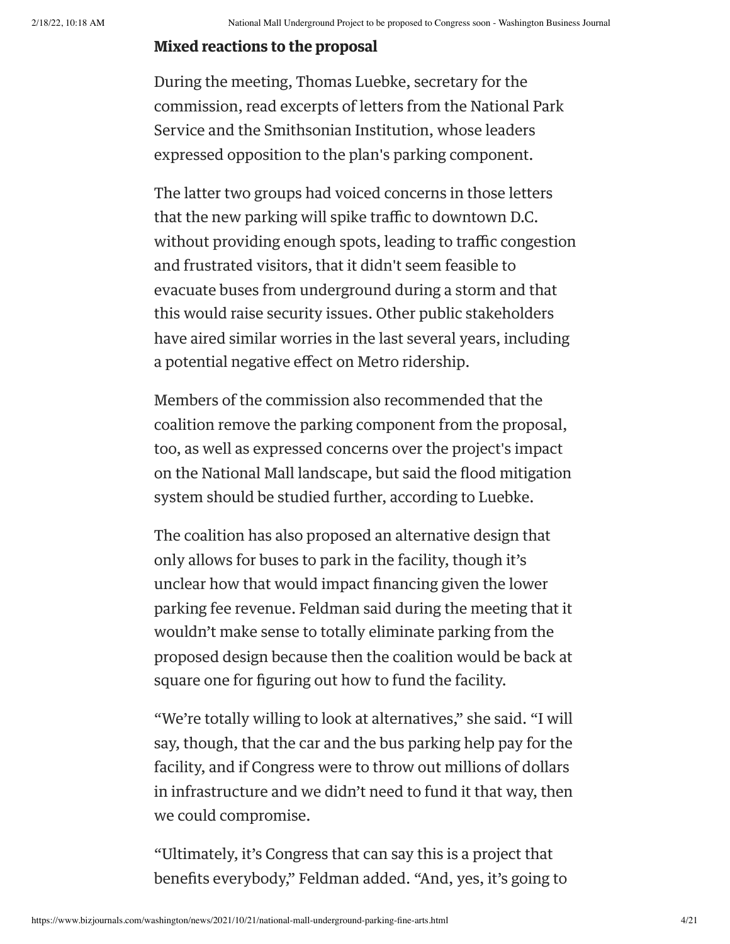## **Mixed reactions to the proposal**

During the meeting, Thomas Luebke, secretary for the commission, read excerpts of letters from the National Park Service and the Smithsonian Institution, whose leaders expressed opposition to the plan's parking component.

The latter two groups had voiced concerns in those letters that the new parking will spike traffic to downtown D.C. without providing enough spots, leading to traffic congestion and frustrated visitors, that it didn't seem feasible to evacuate buses from underground during a storm and that this would raise security issues. Other public stakeholders have aired similar worries in the last several years, including a potential negative effect on Metro ridership.

Members of the commission also recommended that the coalition remove the parking component from the proposal, too, as well as expressed concerns over the project's impact on the National Mall landscape, but said the flood mitigation system should be studied further, according to Luebke.

The coalition has also proposed an alternative design that only allows for buses to park in the facility, though it's unclear how that would impact financing given the lower parking fee revenue. Feldman said during the meeting that it wouldn't make sense to totally eliminate parking from the proposed design because then the coalition would be back at square one for figuring out how to fund the facility.

"We're totally willing to look at alternatives," she said. "I will say, though, that the car and the bus parking help pay for the facility, and if Congress were to throw out millions of dollars in infrastructure and we didn't need to fund it that way, then we could compromise.

"Ultimately, it's Congress that can say this is a project that benefits everybody," Feldman added. "And, yes, it's going to